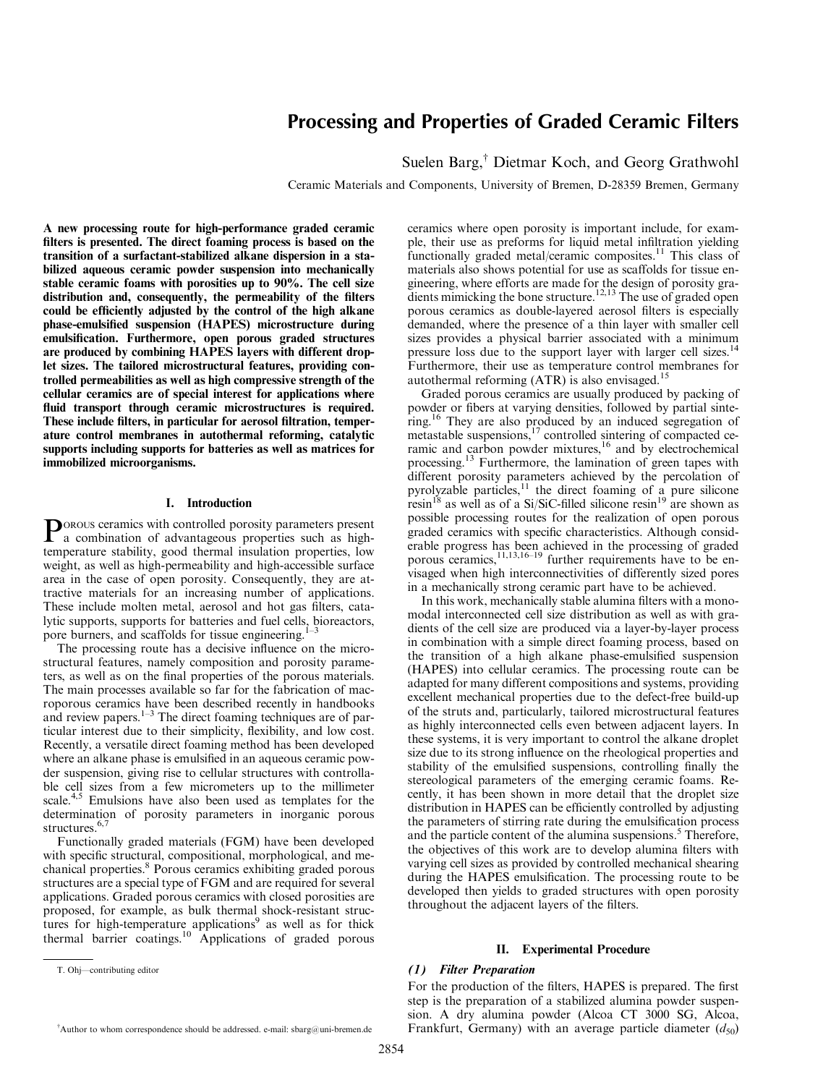# Processing and Properties of Graded Ceramic Filters

Suelen Barg,<sup>†</sup> Dietmar Koch, and Georg Grathwohl

Ceramic Materials and Components, University of Bremen, D-28359 Bremen, Germany

A new processing route for high-performance graded ceramic filters is presented. The direct foaming process is based on the transition of a surfactant-stabilized alkane dispersion in a stabilized aqueous ceramic powder suspension into mechanically stable ceramic foams with porosities up to 90%. The cell size distribution and, consequently, the permeability of the filters could be efficiently adjusted by the control of the high alkane phase-emulsified suspension (HAPES) microstructure during emulsification. Furthermore, open porous graded structures are produced by combining HAPES layers with different droplet sizes. The tailored microstructural features, providing controlled permeabilities as well as high compressive strength of the cellular ceramics are of special interest for applications where fluid transport through ceramic microstructures is required. These include filters, in particular for aerosol filtration, temperature control membranes in autothermal reforming, catalytic supports including supports for batteries as well as matrices for immobilized microorganisms.

## I. Introduction

P OROUS ceramics with controlled porosity parameters present a combination of advantageous properties such as hightemperature stability, good thermal insulation properties, low weight, as well as high-permeability and high-accessible surface area in the case of open porosity. Consequently, they are attractive materials for an increasing number of applications. These include molten metal, aerosol and hot gas filters, catalytic supports, supports for batteries and fuel cells, bioreactors, pore burners, and scaffolds for tissue engineering.<sup>1-3</sup>

The processing route has a decisive influence on the microstructural features, namely composition and porosity parameters, as well as on the final properties of the porous materials. The main processes available so far for the fabrication of macroporous ceramics have been described recently in handbooks and review papers.<sup>1-3</sup> The direct foaming techniques are of particular interest due to their simplicity, flexibility, and low cost. Recently, a versatile direct foaming method has been developed where an alkane phase is emulsified in an aqueous ceramic powder suspension, giving rise to cellular structures with controllable cell sizes from a few micrometers up to the millimeter scale.<sup>4,5</sup> Emulsions have also been used as templates for the determination of porosity parameters in inorganic porous structures. 6,7

Functionally graded materials (FGM) have been developed with specific structural, compositional, morphological, and mechanical properties. 8 Porous ceramics exhibiting graded porous structures are a special type of FGM and are required for several applications. Graded porous ceramics with closed porosities are proposed, for example, as bulk thermal shock-resistant structures for high-temperature applications<sup>9</sup> as well as for thick thermal barrier coatings. <sup>10</sup> Applications of graded porous ceramics where open porosity is important include, for example, their use as preforms for liquid metal infiltration yielding functionally graded metal/ceramic composites.<sup>11</sup> This class of materials also shows potential for use as scaffolds for tissue engineering, where efforts are made for the design of porosity gradients mimicking the bone structure.<sup>12,13</sup> The use of graded open porous ceramics as double-layered aerosol filters is especially demanded, where the presence of a thin layer with smaller cell sizes provides a physical barrier associated with a minimum pressure loss due to the support layer with larger cell sizes.<sup>14</sup> Furthermore, their use as temperature control membranes for autothermal reforming (ATR) is also envisaged.<sup>15</sup>

Graded porous ceramics are usually produced by packing of powder or fibers at varying densities, followed by partial sintering.<sup>16</sup> They are also produced by an induced segregation of metastable suspensions,<sup>17</sup> controlled sintering of compacted ceramic and carbon powder mixtures,<sup>16</sup> and by electrochemical processing.<sup>13</sup> Furthermore, the lamination of green tapes with different porosity parameters achieved by the percolation of pyrolyzable particles,<sup>11</sup> the direct foaming of a pure silicone resin<sup>18</sup> as well as of a Si/SiC-filled silicone resin<sup>19</sup> are shown as possible processing routes for the realization of open porous graded ceramics with specific characteristics. Although considerable progress has been achieved in the processing of graded porous ceramics,<sup>11,13,16-19</sup> further requirements have to be envisaged when high interconnectivities of differently sized pores in a mechanically strong ceramic part have to be achieved.

In this work, mechanically stable alumina filters with a monomodal interconnected cell size distribution as well as with gradients of the cell size are produced via a layer-by-layer process in combination with a simple direct foaming process, based on the transition of a high alkane phase-emulsified suspension (HAPES) into cellular ceramics. The processing route can be adapted for many different compositions and systems, providing excellent mechanical properties due to the defect-free build-up of the struts and, particularly, tailored microstructural features as highly interconnected cells even between adjacent layers. In these systems, it is very important to control the alkane droplet size due to its strong influence on the rheological properties and stability of the emulsified suspensions, controlling finally the stereological parameters of the emerging ceramic foams. Recently, it has been shown in more detail that the droplet size distribution in HAPES can be efficiently controlled by adjusting the parameters of stirring rate during the emulsification process and the particle content of the alumina suspensions. <sup>5</sup> Therefore, the objectives of this work are to develop alumina filters with varying cell sizes as provided by controlled mechanical shearing during the HAPES emulsification. The processing route to be developed then yields to graded structures with open porosity throughout the adjacent layers of the filters.

#### II. Experimental Procedure

## (1) Filter Preparation

For the production of the filters, HAPES is prepared. The first step is the preparation of a stabilized alumina powder suspension. A dry alumina powder (Alcoa CT 3000 SG, Alcoa, Frankfurt, Germany) with an average particle diameter  $(d_{50})$ 

T. Ohj—contributing editor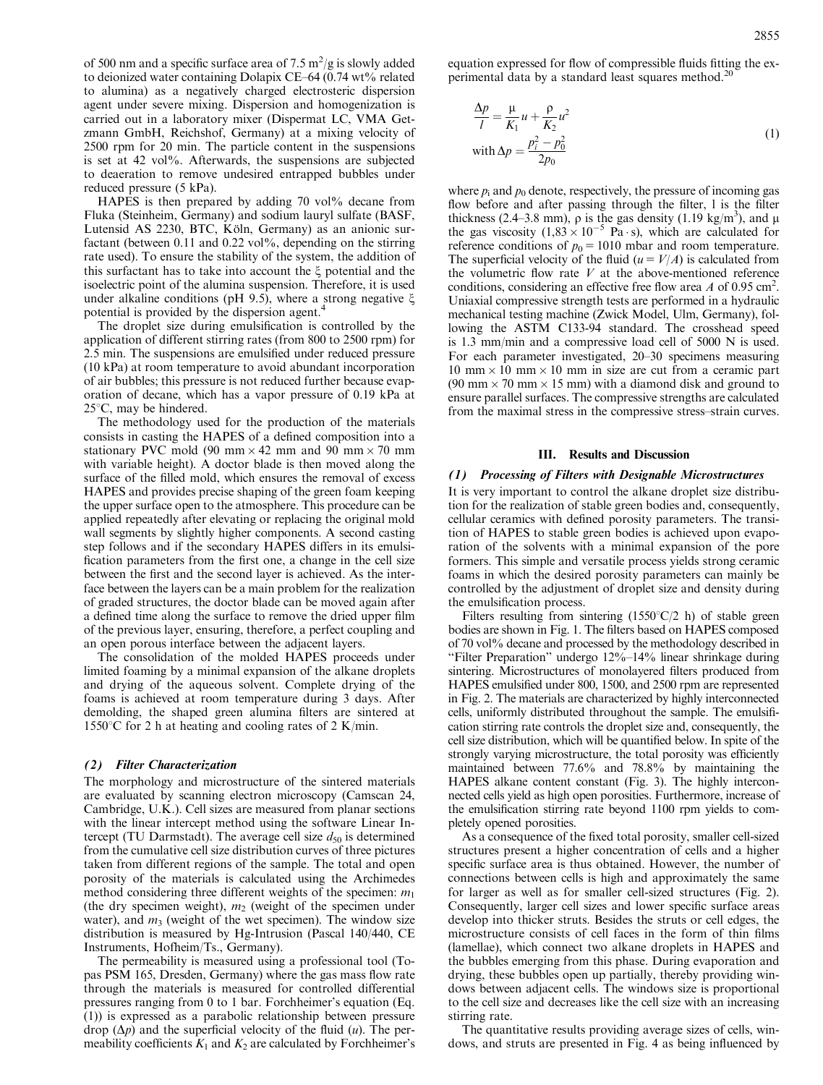2855

of 500 nm and a specific surface area of 7.5  $\text{m}^2/\text{g}$  is slowly added to deionized water containing Dolapix CE–64 (0.74 wt% related to alumina) as a negatively charged electrosteric dispersion agent under severe mixing. Dispersion and homogenization is carried out in a laboratory mixer (Dispermat LC, VMA Getzmann GmbH, Reichshof, Germany) at a mixing velocity of 2500 rpm for 20 min. The particle content in the suspensions is set at 42 vol%. Afterwards, the suspensions are subjected to deaeration to remove undesired entrapped bubbles under reduced pressure (5 kPa).

HAPES is then prepared by adding 70 vol% decane from Fluka (Steinheim, Germany) and sodium lauryl sulfate (BASF, Lutensid AS 2230, BTC, Köln, Germany) as an anionic surfactant (between 0.11 and 0.22 vol%, depending on the stirring rate used). To ensure the stability of the system, the addition of this surfactant has to take into account the  $\xi$  potential and the isoelectric point of the alumina suspension. Therefore, it is used under alkaline conditions (pH 9.5), where a strong negative  $\xi$ potential is provided by the dispersion agent. 4

The droplet size during emulsification is controlled by the application of different stirring rates (from 800 to 2500 rpm) for 2.5 min. The suspensions are emulsified under reduced pressure (10 kPa) at room temperature to avoid abundant incorporation of air bubbles; this pressure is not reduced further because evaporation of decane, which has a vapor pressure of 0.19 kPa at  $25^{\circ}$ C, may be hindered.

The methodology used for the production of the materials consists in casting the HAPES of a defined composition into a stationary PVC mold (90 mm  $\times$  42 mm and 90 mm  $\times$  70 mm with variable height). A doctor blade is then moved along the surface of the filled mold, which ensures the removal of excess HAPES and provides precise shaping of the green foam keeping the upper surface open to the atmosphere. This procedure can be applied repeatedly after elevating or replacing the original mold wall segments by slightly higher components. A second casting step follows and if the secondary HAPES differs in its emulsification parameters from the first one, a change in the cell size between the first and the second layer is achieved. As the interface between the layers can be a main problem for the realization of graded structures, the doctor blade can be moved again after a defined time along the surface to remove the dried upper film of the previous layer, ensuring, therefore, a perfect coupling and an open porous interface between the adjacent layers.

The consolidation of the molded HAPES proceeds under limited foaming by a minimal expansion of the alkane droplets and drying of the aqueous solvent. Complete drying of the foams is achieved at room temperature during 3 days. After demolding, the shaped green alumina filters are sintered at 1550 $\degree$ C for 2 h at heating and cooling rates of 2 K/min.

### (2) Filter Characterization

The morphology and microstructure of the sintered materials are evaluated by scanning electron microscopy (Camscan 24, Cambridge, U.K.). Cell sizes are measured from planar sections with the linear intercept method using the software Linear Intercept (TU Darmstadt). The average cell size  $d_{50}$  is determined from the cumulative cell size distribution curves of three pictures taken from different regions of the sample. The total and open porosity of the materials is calculated using the Archimedes method considering three different weights of the specimen:  $m_1$ (the dry specimen weight),  $m_2$  (weight of the specimen under water), and  $m_3$  (weight of the wet specimen). The window size distribution is measured by Hg-Intrusion (Pascal 140/440, CE Instruments, Hofheim/Ts., Germany).

The permeability is measured using a professional tool (Topas PSM 165, Dresden, Germany) where the gas mass flow rate through the materials is measured for controlled differential pressures ranging from 0 to 1 bar. Forchheimer's equation (Eq. (1)) is expressed as a parabolic relationship between pressure drop  $(\Delta p)$  and the superficial velocity of the fluid  $(u)$ . The permeability coefficients  $K_1$  and  $K_2$  are calculated by Forchheimer's equation expressed for flow of compressible fluids fitting the experimental data by a standard least squares method.<sup>20</sup>

$$
\frac{\Delta p}{l} = \frac{\mu}{K_1} u + \frac{\rho}{K_2} u^2
$$
  
with 
$$
\Delta p = \frac{p_i^2 - p_0^2}{2p_0}
$$
 (1)

where  $p_i$  and  $p_0$  denote, respectively, the pressure of incoming gas flow before and after passing through the filter, l is the filter thickness (2.4–3.8 mm),  $\rho$  is the gas density (1.19 kg/m<sup>3</sup>), and  $\mu$ the gas viscosity  $(1,83 \times 10^{-5} \text{ Pa} \cdot \text{s})$ , which are calculated for reference conditions of  $p_0 = 1010$  mbar and room temperature. The superficial velocity of the fluid  $(u = V/A)$  is calculated from the volumetric flow rate  $V$  at the above-mentioned reference conditions, considering an effective free flow area  $A$  of 0.95 cm<sup>2</sup>. Uniaxial compressive strength tests are performed in a hydraulic mechanical testing machine (Zwick Model, Ulm, Germany), following the ASTM C133-94 standard. The crosshead speed is 1.3 mm/min and a compressive load cell of 5000 N is used. For each parameter investigated, 20–30 specimens measuring  $10 \text{ mm} \times 10 \text{ mm} \times 10 \text{ mm}$  in size are cut from a ceramic part  $(90 \text{ mm} \times 70 \text{ mm} \times 15 \text{ mm})$  with a diamond disk and ground to ensure parallel surfaces. The compressive strengths are calculated from the maximal stress in the compressive stress–strain curves.

# III. Results and Discussion

### (1) Processing of Filters with Designable Microstructures

It is very important to control the alkane droplet size distribution for the realization of stable green bodies and, consequently, cellular ceramics with defined porosity parameters. The transition of HAPES to stable green bodies is achieved upon evaporation of the solvents with a minimal expansion of the pore formers. This simple and versatile process yields strong ceramic foams in which the desired porosity parameters can mainly be controlled by the adjustment of droplet size and density during the emulsification process.

Filters resulting from sintering  $(1550^{\circ}C/2)$  h) of stable green bodies are shown in Fig. 1. The filters based on HAPES composed of 70 vol% decane and processed by the methodology described in ''Filter Preparation'' undergo 12%–14% linear shrinkage during sintering. Microstructures of monolayered filters produced from HAPES emulsified under 800, 1500, and 2500 rpm are represented in Fig. 2. The materials are characterized by highly interconnected cells, uniformly distributed throughout the sample. The emulsification stirring rate controls the droplet size and, consequently, the cell size distribution, which will be quantified below. In spite of the strongly varying microstructure, the total porosity was efficiently maintained between 77.6% and 78.8% by maintaining the HAPES alkane content constant (Fig. 3). The highly interconnected cells yield as high open porosities. Furthermore, increase of the emulsification stirring rate beyond 1100 rpm yields to completely opened porosities.

As a consequence of the fixed total porosity, smaller cell-sized structures present a higher concentration of cells and a higher specific surface area is thus obtained. However, the number of connections between cells is high and approximately the same for larger as well as for smaller cell-sized structures (Fig. 2). Consequently, larger cell sizes and lower specific surface areas develop into thicker struts. Besides the struts or cell edges, the microstructure consists of cell faces in the form of thin films (lamellae), which connect two alkane droplets in HAPES and the bubbles emerging from this phase. During evaporation and drying, these bubbles open up partially, thereby providing windows between adjacent cells. The windows size is proportional to the cell size and decreases like the cell size with an increasing stirring rate.

The quantitative results providing average sizes of cells, windows, and struts are presented in Fig. 4 as being influenced by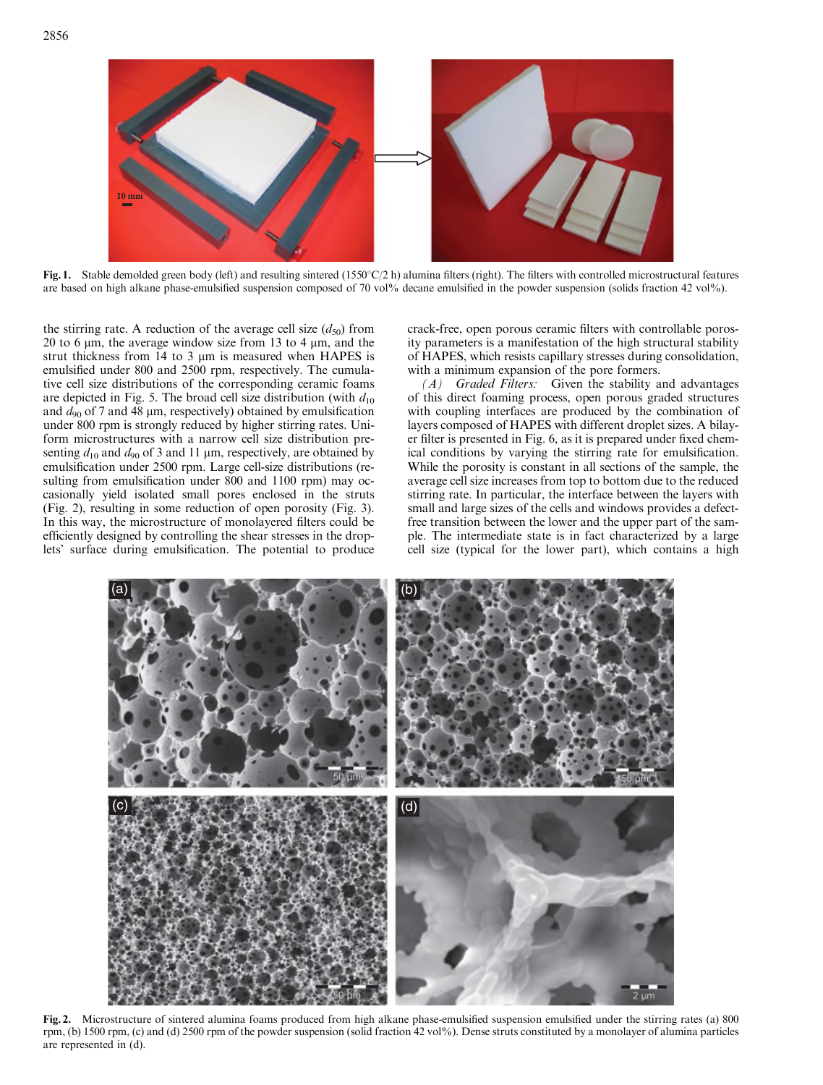

Fig. 1. Stable demolded green body (left) and resulting sintered  $(1550^{\circ}C/2 h)$  alumina filters (right). The filters with controlled microstructural features are based on high alkane phase-emulsified suspension composed of 70 vol% decane emulsified in the powder suspension (solids fraction 42 vol%).

the stirring rate. A reduction of the average cell size  $(d_{50})$  from 20 to 6  $\mu$ m, the average window size from 13 to 4  $\mu$ m, and the strut thickness from  $14$  to  $3 \mu m$  is measured when HAPES is emulsified under 800 and 2500 rpm, respectively. The cumulative cell size distributions of the corresponding ceramic foams are depicted in Fig. 5. The broad cell size distribution (with  $d_{10}$ ) and  $d_{90}$  of 7 and 48  $\mu$ m, respectively) obtained by emulsification under 800 rpm is strongly reduced by higher stirring rates. Uniform microstructures with a narrow cell size distribution presenting  $d_{10}$  and  $d_{90}$  of 3 and 11 µm, respectively, are obtained by emulsification under 2500 rpm. Large cell-size distributions (resulting from emulsification under 800 and 1100 rpm) may occasionally yield isolated small pores enclosed in the struts (Fig. 2), resulting in some reduction of open porosity (Fig. 3). In this way, the microstructure of monolayered filters could be efficiently designed by controlling the shear stresses in the droplets' surface during emulsification. The potential to produce crack-free, open porous ceramic filters with controllable porosity parameters is a manifestation of the high structural stability of HAPES, which resists capillary stresses during consolidation, with a minimum expansion of the pore formers.

 $(A)$  Graded Filters: Given the stability and advantages of this direct foaming process, open porous graded structures with coupling interfaces are produced by the combination of layers composed of HAPES with different droplet sizes. A bilayer filter is presented in Fig. 6, as it is prepared under fixed chemical conditions by varying the stirring rate for emulsification. While the porosity is constant in all sections of the sample, the average cell size increases from top to bottom due to the reduced stirring rate. In particular, the interface between the layers with small and large sizes of the cells and windows provides a defectfree transition between the lower and the upper part of the sample. The intermediate state is in fact characterized by a large cell size (typical for the lower part), which contains a high



Fig. 2. Microstructure of sintered alumina foams produced from high alkane phase-emulsified suspension emulsified under the stirring rates (a) 800 rpm, (b) 1500 rpm, (c) and (d) 2500 rpm of the powder suspension (solid fraction 42 vol%). Dense struts constituted by a monolayer of alumina particles are represented in (d).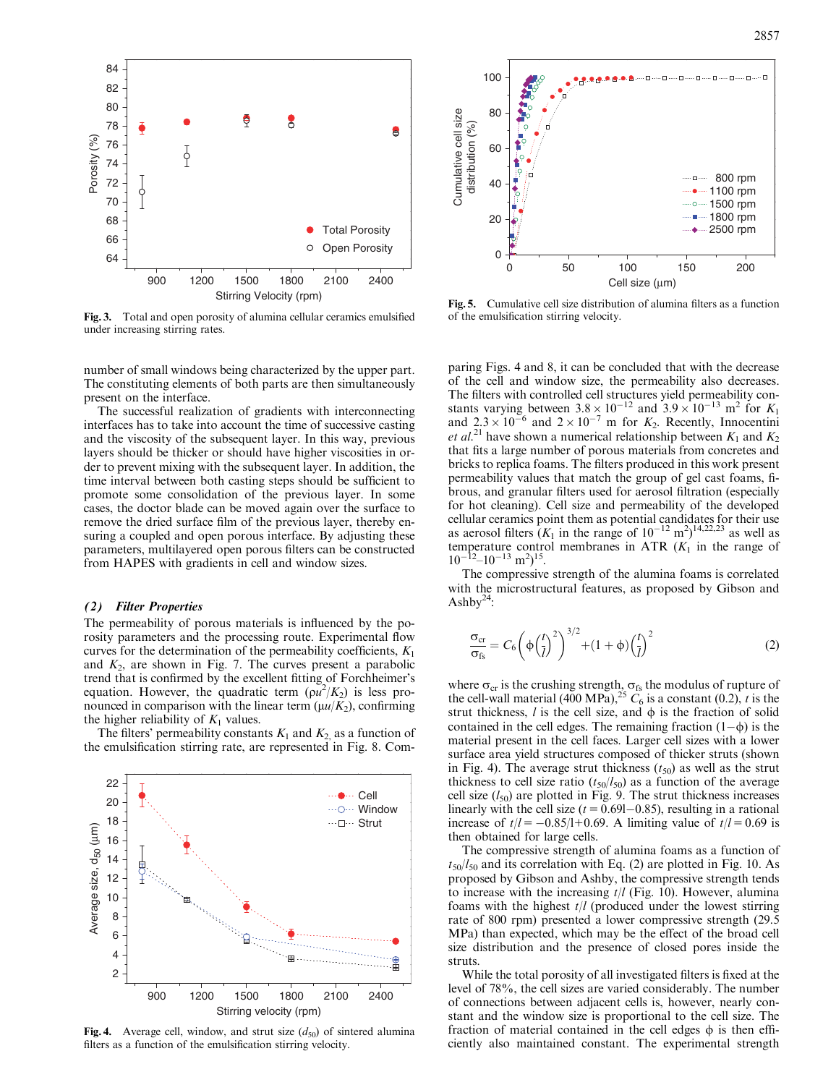

Fig. 3. Total and open porosity of alumina cellular ceramics emulsified under increasing stirring rates.

number of small windows being characterized by the upper part. The constituting elements of both parts are then simultaneously present on the interface.

The successful realization of gradients with interconnecting interfaces has to take into account the time of successive casting and the viscosity of the subsequent layer. In this way, previous layers should be thicker or should have higher viscosities in order to prevent mixing with the subsequent layer. In addition, the time interval between both casting steps should be sufficient to promote some consolidation of the previous layer. In some cases, the doctor blade can be moved again over the surface to remove the dried surface film of the previous layer, thereby ensuring a coupled and open porous interface. By adjusting these parameters, multilayered open porous filters can be constructed from HAPES with gradients in cell and window sizes.

### (2) Filter Properties

The permeability of porous materials is influenced by the porosity parameters and the processing route. Experimental flow curves for the determination of the permeability coefficients,  $K_1$ and  $K_2$ , are shown in Fig. 7. The curves present a parabolic trend that is confirmed by the excellent fitting of Forchheimer's equation. However, the quadratic term  $(\rho u^2/K_2)$  is less pronounced in comparison with the linear term  $(\mu u/K_2)$ , confirming the higher reliability of  $K_1$  values.

The filters' permeability constants  $K_1$  and  $K_2$  as a function of the emulsification stirring rate, are represented in Fig. 8. Com-



Fig. 4. Average cell, window, and strut size  $(d_{50})$  of sintered alumina filters as a function of the emulsification stirring velocity.



Fig. 5. Cumulative cell size distribution of alumina filters as a function of the emulsification stirring velocity.

paring Figs. 4 and 8, it can be concluded that with the decrease of the cell and window size, the permeability also decreases. The filters with controlled cell structures yield permeability constants varying between  $3.8 \times 10^{-12}$  and  $3.9 \times 10^{-13}$  m<sup>2</sup> for K<sub>1</sub> and  $2.3 \times 10^{-6}$  and  $2 \times 10^{-7}$  m for  $K_2$ . Recently, Innocentini *et al.*<sup>21</sup> have shown a numerical relationship between  $K_1$  and  $K_2$ that fits a large number of porous materials from concretes and bricks to replica foams. The filters produced in this work present permeability values that match the group of gel cast foams, fibrous, and granular filters used for aerosol filtration (especially for hot cleaning). Cell size and permeability of the developed cellular ceramics point them as potential candidates for their use as aerosol filters  $(K_1$  in the range of  $10^{-12}$  m<sup>2</sup>)<sup>14,22,23</sup> as well as temperature control membranes in ATR  $(K_1$  in the range of  $10^{-12} - 10^{-13}$  m<sup>2</sup>)<sup>15</sup>.

The compressive strength of the alumina foams is correlated with the microstructural features, as proposed by Gibson and Ashby $^{24}$ :

$$
\frac{\sigma_{\rm cr}}{\sigma_{\rm fs}} = C_6 \left( \phi \left( \frac{t}{l} \right)^2 \right)^{3/2} + (1 + \phi) \left( \frac{t}{l} \right)^2 \tag{2}
$$

where  $\sigma_{cr}$  is the crushing strength,  $\sigma_{fs}$  the modulus of rupture of the cell-wall material (400 MPa),<sup>25</sup>  $\ddot{C}_6$  is a constant (0.2), t is the strut thickness,  $l$  is the cell size, and  $\phi$  is the fraction of solid contained in the cell edges. The remaining fraction  $(1-\phi)$  is the material present in the cell faces. Larger cell sizes with a lower surface area yield structures composed of thicker struts (shown in Fig. 4). The average strut thickness  $(t_{50})$  as well as the strut thickness to cell size ratio  $(t_{50}/l_{50})$  as a function of the average cell size  $(l_{50})$  are plotted in Fig. 9. The strut thickness increases linearly with the cell size  $(t = 0.691 - 0.85)$ , resulting in a rational increase of  $t/l = -0.85/l+0.69$ . A limiting value of  $t/l = 0.69$  is then obtained for large cells.

The compressive strength of alumina foams as a function of  $t_{50}/l_{50}$  and its correlation with Eq. (2) are plotted in Fig. 10. As proposed by Gibson and Ashby, the compressive strength tends to increase with the increasing  $t/l$  (Fig. 10). However, alumina foams with the highest  $t/l$  (produced under the lowest stirring rate of 800 rpm) presented a lower compressive strength (29.5 MPa) than expected, which may be the effect of the broad cell size distribution and the presence of closed pores inside the struts.

While the total porosity of all investigated filters is fixed at the level of 78%, the cell sizes are varied considerably. The number of connections between adjacent cells is, however, nearly constant and the window size is proportional to the cell size. The fraction of material contained in the cell edges  $\phi$  is then efficiently also maintained constant. The experimental strength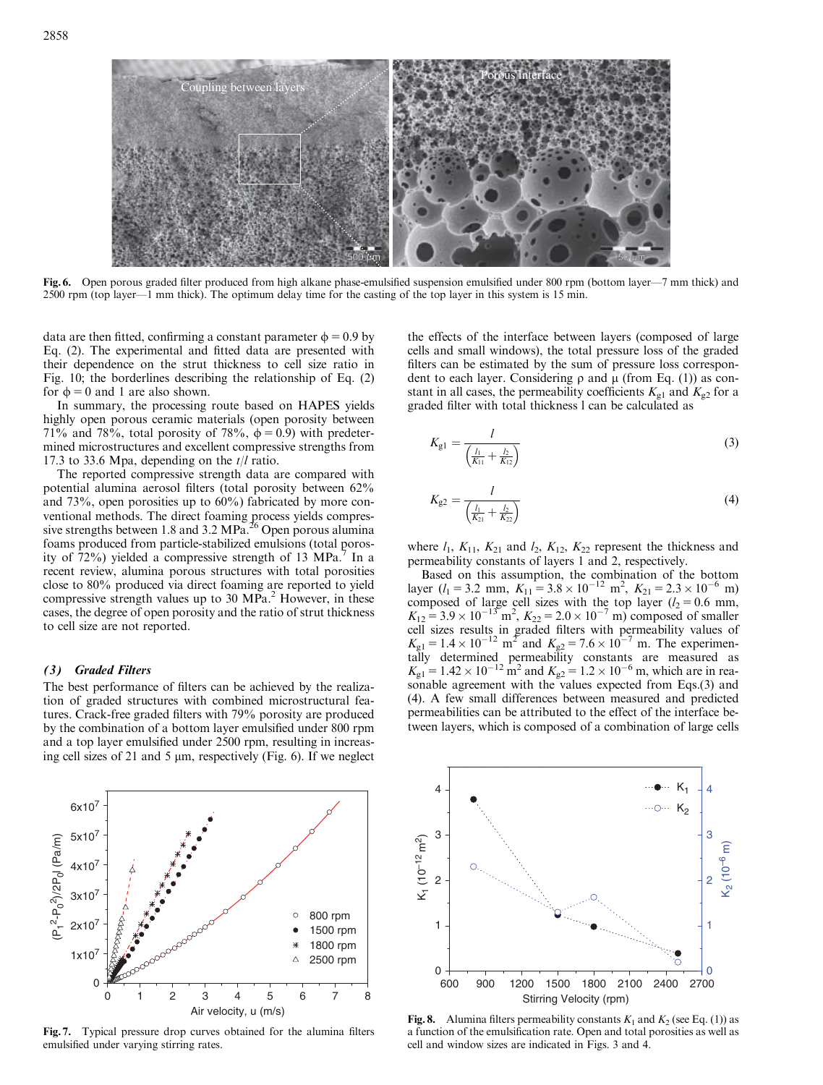

Fig. 6. Open porous graded filter produced from high alkane phase-emulsified suspension emulsified under 800 rpm (bottom layer—7 mm thick) and 2500 rpm (top layer—1 mm thick). The optimum delay time for the casting of the top layer in this system is 15 min.

data are then fitted, confirming a constant parameter  $\phi = 0.9$  by Eq. (2). The experimental and fitted data are presented with their dependence on the strut thickness to cell size ratio in Fig. 10; the borderlines describing the relationship of Eq. (2) for  $\phi = 0$  and 1 are also shown.

In summary, the processing route based on HAPES yields highly open porous ceramic materials (open porosity between 71% and 78%, total porosity of 78%,  $\phi = 0.9$ ) with predetermined microstructures and excellent compressive strengths from 17.3 to 33.6 Mpa, depending on the  $t/l$  ratio.

The reported compressive strength data are compared with potential alumina aerosol filters (total porosity between 62% and 73%, open porosities up to 60%) fabricated by more conventional methods. The direct foaming process yields compressive strengths between 1.8 and 3.2 MPa.<sup>26</sup> Open porous alumina foams produced from particle-stabilized emulsions (total porosity of  $72\%$ ) yielded a compressive strength of 13 MPa.<sup>7</sup> In a recent review, alumina porous structures with total porosities close to 80% produced via direct foaming are reported to yield compressive strength values up to 30 MPa.<sup>2</sup> However, in these cases, the degree of open porosity and the ratio of strut thickness to cell size are not reported.

# (3) Graded Filters

The best performance of filters can be achieved by the realization of graded structures with combined microstructural features. Crack-free graded filters with 79% porosity are produced by the combination of a bottom layer emulsified under 800 rpm and a top layer emulsified under 2500 rpm, resulting in increasing cell sizes of 21 and 5  $\mu$ m, respectively (Fig. 6). If we neglect



Fig. 7. Typical pressure drop curves obtained for the alumina filters emulsified under varying stirring rates.

the effects of the interface between layers (composed of large cells and small windows), the total pressure loss of the graded filters can be estimated by the sum of pressure loss correspondent to each layer. Considering  $\rho$  and  $\mu$  (from Eq. (1)) as constant in all cases, the permeability coefficients  $K_{\text{gl}}$  and  $K_{\text{g}2}$  for a graded filter with total thickness l can be calculated as

$$
K_{g1} = \frac{l}{\left(\frac{l_1}{K_{11}} + \frac{l_2}{K_{12}}\right)}
$$
(3)

$$
K_{g2} = \frac{l}{\left(\frac{l_1}{K_{21}} + \frac{l_2}{K_{22}}\right)}
$$
(4)

where  $l_1$ ,  $K_{11}$ ,  $K_{21}$  and  $l_2$ ,  $K_{12}$ ,  $K_{22}$  represent the thickness and permeability constants of layers 1 and 2, respectively.

Based on this assumption, the combination of the bottom layer ( $l_1 = 3.2$  mm,  $K_{11} = 3.8 \times 10^{-12}$  m<sup>2</sup>,  $K_{21} = 2.3 \times 10^{-6}$  m) composed of large cell sizes with the top layer ( $l_2 = 0.6$  mm,  $K_{12} = 3.9 \times 10^{-13}$  m<sup>2</sup>,  $K_{22} = 2.0 \times 10^{-7}$  m) composed of smaller cell sizes results in graded filters with permeability values of  $K_{\text{gl}} = 1.4 \times 10^{-12} \text{ m}^2$  and  $K_{\text{g}2} = 7.6 \times 10^{-7} \text{ m}$ . The experimentally determined permeability constants are measured as  $K_{\text{g1}} = 1.42 \times 10^{-12} \text{ m}^2$  and  $K_{\text{g2}} = 1.2 \times 10^{-6} \text{ m}$ , which are in reasonable agreement with the values expected from Eqs.(3) and (4). A few small differences between measured and predicted permeabilities can be attributed to the effect of the interface between layers, which is composed of a combination of large cells



**Fig. 8.** Alumina filters permeability constants  $K_1$  and  $K_2$  (see Eq. (1)) as a function of the emulsification rate. Open and total porosities as well as cell and window sizes are indicated in Figs. 3 and 4.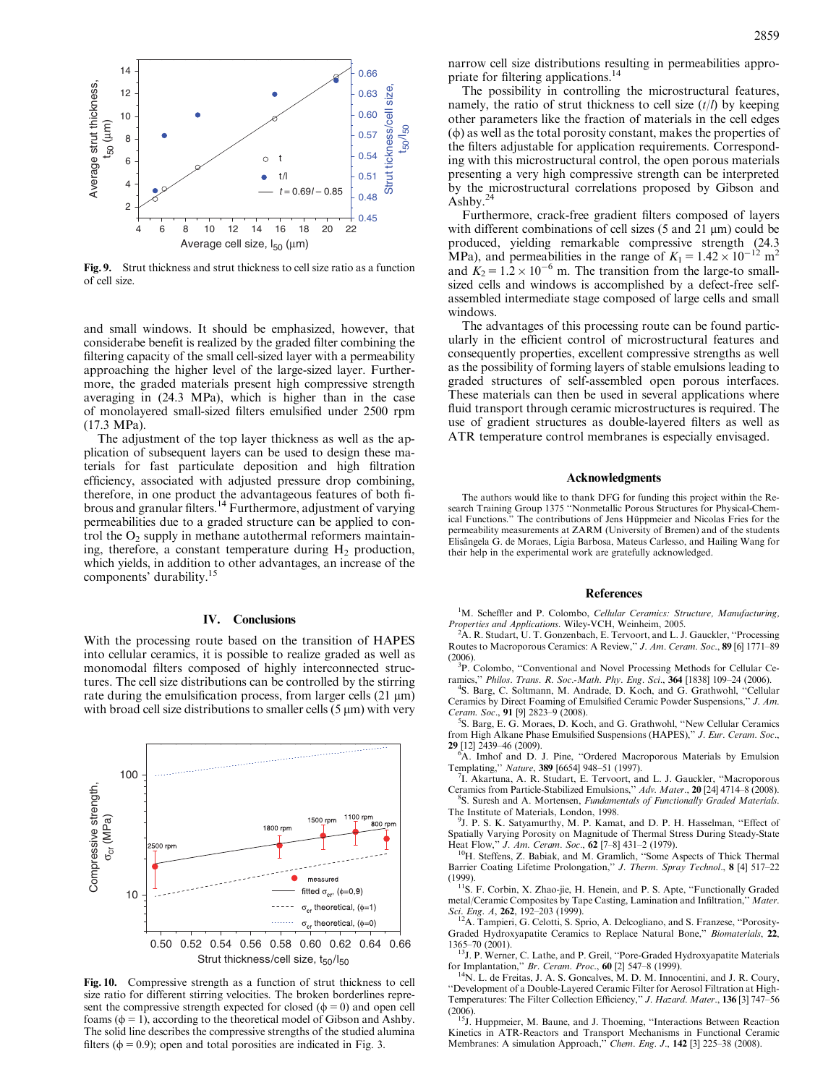

Fig. 9. Strut thickness and strut thickness to cell size ratio as a function of cell size.

and small windows. It should be emphasized, however, that considerabe benefit is realized by the graded filter combining the filtering capacity of the small cell-sized layer with a permeability approaching the higher level of the large-sized layer. Furthermore, the graded materials present high compressive strength averaging in (24.3 MPa), which is higher than in the case of monolayered small-sized filters emulsified under 2500 rpm (17.3 MPa).

The adjustment of the top layer thickness as well as the application of subsequent layers can be used to design these materials for fast particulate deposition and high filtration efficiency, associated with adjusted pressure drop combining, therefore, in one product the advantageous features of both fibrous and granular filters. <sup>14</sup> Furthermore, adjustment of varying permeabilities due to a graded structure can be applied to control the  $O_2$  supply in methane autothermal reformers maintaining, therefore, a constant temperature during  $H_2$  production, which yields, in addition to other advantages, an increase of the components' durability. 15

## IV. Conclusions

With the processing route based on the transition of HAPES into cellular ceramics, it is possible to realize graded as well as monomodal filters composed of highly interconnected structures. The cell size distributions can be controlled by the stirring rate during the emulsification process, from larger cells  $(21 \mu m)$ with broad cell size distributions to smaller cells  $(5 \mu m)$  with very



Fig. 10. Compressive strength as a function of strut thickness to cell size ratio for different stirring velocities. The broken borderlines represent the compressive strength expected for closed  $(\phi = 0)$  and open cell foams ( $\phi$  = 1), according to the theoretical model of Gibson and Ashby. The solid line describes the compressive strengths of the studied alumina filters ( $\phi = 0.9$ ); open and total porosities are indicated in Fig. 3.

narrow cell size distributions resulting in permeabilities appropriate for filtering applications.<sup>14</sup>

The possibility in controlling the microstructural features, namely, the ratio of strut thickness to cell size  $(t/l)$  by keeping other parameters like the fraction of materials in the cell edges  $(\phi)$  as well as the total porosity constant, makes the properties of the filters adjustable for application requirements. Corresponding with this microstructural control, the open porous materials presenting a very high compressive strength can be interpreted by the microstructural correlations proposed by Gibson and Ashby. 24

Furthermore, crack-free gradient filters composed of layers with different combinations of cell sizes  $(5 \text{ and } 21 \text{ µm})$  could be produced, yielding remarkable compressive strength (24.3 MPa), and permeabilities in the range of  $K_1 = 1.42 \times 10^{-12}$  m<sup>2</sup> and  $K_2 = 1.2 \times 10^{-6}$  m. The transition from the large-to smallsized cells and windows is accomplished by a defect-free selfassembled intermediate stage composed of large cells and small windows.

The advantages of this processing route can be found particularly in the efficient control of microstructural features and consequently properties, excellent compressive strengths as well as the possibility of forming layers of stable emulsions leading to graded structures of self-assembled open porous interfaces. These materials can then be used in several applications where fluid transport through ceramic microstructures is required. The use of gradient structures as double-layered filters as well as ATR temperature control membranes is especially envisaged.

#### Acknowledgments

The authors would like to thank DFG for funding this project within the Research Training Group 1375 ''Nonmetallic Porous Structures for Physical-Chemical Functions." The contributions of Jens Hüppmeier and Nicolas Fries for the permeability measurements at ZARM (University of Bremen) and of the students Elisângela G. de Moraes, Lígia Barbosa, Mateus Carlesso, and Hailing Wang for their help in the experimental work are gratefully acknowledged.

#### **References**

<sup>1</sup>M. Scheffler and P. Colombo, Cellular Ceramics: Structure, Manufacturing, Properties and Applications. Wiley-VCH, Weinheim, 2005.

<sup>2</sup>A. R. Studart, U. T. Gonzenbach, E. Tervoort, and L. J. Gauckler, "Processing Routes to Macroporous Ceramics: A Review,'' J. Am. Ceram. Soc., 89 [6] 1771–89  $(2006)$ 

<sup>3</sup>P. Colombo, "Conventional and Novel Processing Methods for Cellular Ceramics,'' Philos. Trans. R. Soc.-Math. Phy. Eng. Sci., 364 [1838] 109–24 (2006).

4 S. Barg, C. Soltmann, M. Andrade, D. Koch, and G. Grathwohl, ''Cellular Ceramics by Direct Foaming of Emulsified Ceramic Powder Suspensions,'' J. Am. Ceram. Soc., 91 [9] 2823–9 (2008).

<sup>5</sup>S. Barg, E. G. Moraes, D. Koch, and G. Grathwohl, "New Cellular Ceramics from High Alkane Phase Emulsified Suspensions (HAPES)," J. Eur. Ceram. Soc.,

29 [12] 2439–46 (2009). <sup>6</sup>A. Imhof and D. J. Pine, ''Ordered Macroporous Materials by Emulsion Templating,'' Nature, 389 [6654] 948–51 (1997).

<sup>7</sup>I. Akartuna, A. R. Studart, E. Tervoort, and L. J. Gauckler, "Macroporous Ceramics from Particle-Stabilized Emulsions," *Adv. Mater.*, **20** [24] 4714–8 (2008).

<sup>8</sup>S. Suresh and A. Mortensen, Fundamentals of Functionally Graded Materials. The Institute of Materials, London, 1998. <sup>9</sup>J. P. S. K. Satyamurthy, M. P. Kamat, and D. P. H. Hasselman, "Effect of

Spatially Varying Porosity on Magnitude of Thermal Stress During Steady-State Heat Flow,'' J. Am. Ceram. Soc., 62 [7–8] 431–2 (1979).

<sup>10</sup>H. Steffens, Z. Babiak, and M. Gramlich, "Some Aspects of Thick Thermal Barrier Coating Lifetime Prolongation," J. Therm. Spray Technol., 8 [4] 517-22 (1999).

<sup>11</sup>S. F. Corbin, X. Zhao-jie, H. Henein, and P. S. Apte, "Functionally Graded metal/Ceramic Composites by Tape Casting, Lamination and Infiltration,'' Mater.

Sci. Eng. A, 262, 192–203 (1999).<br><sup>12</sup>A. Tampieri, G. Celotti, S. Sprio, A. Delcogliano, and S. Franzese, "Porosity-Graded Hydroxyapatite Ceramics to Replace Natural Bone,'' Biomaterials, 22, 1365–70 (2001).

<sup>13</sup>J. P. Werner, C. Lathe, and P. Greil, "Pore-Graded Hydroxyapatite Materials for Implantation,'' Br. Ceram. Proc., 60 [2] 547–8 (1999).

<sup>14</sup>N. L. de Freitas, J. A. S. Goncalves, M. D. M. Innocentini, and J. R. Coury, ''Development of a Double-Layered Ceramic Filter for Aerosol Filtration at High-Temperatures: The Filter Collection Efficiency,'' J. Hazard. Mater., 136 [3] 747–56

(2006).<br><sup>15</sup>J. Huppmeier, M. Baune, and J. Thoeming, "Interactions Between Reaction<br>Kinetics in ATR-Reactors and Transport Mechanisms in Functional Ceramic Membranes: A simulation Approach,'' Chem. Eng. J., 142 [3] 225–38 (2008).